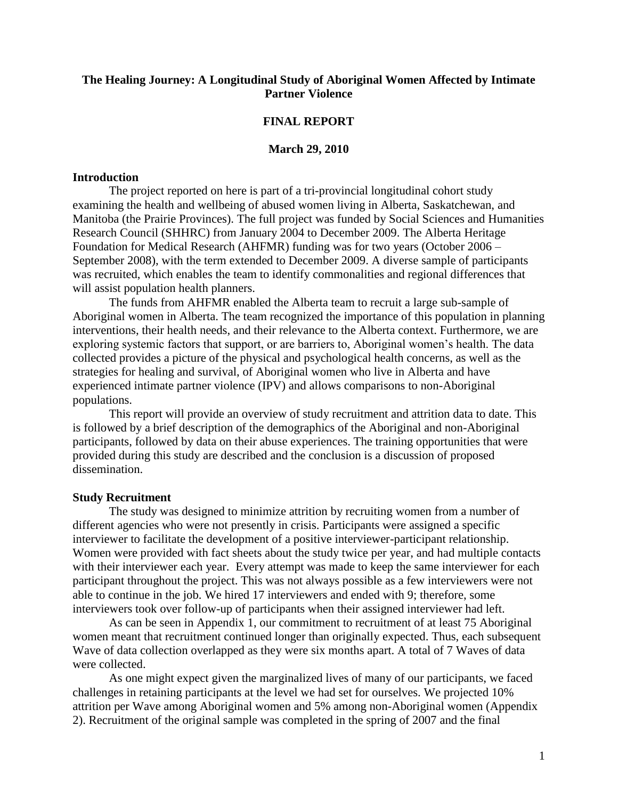# **The Healing Journey: A Longitudinal Study of Aboriginal Women Affected by Intimate Partner Violence**

### **FINAL REPORT**

### **March 29, 2010**

### **Introduction**

The project reported on here is part of a tri-provincial longitudinal cohort study examining the health and wellbeing of abused women living in Alberta, Saskatchewan, and Manitoba (the Prairie Provinces). The full project was funded by Social Sciences and Humanities Research Council (SHHRC) from January 2004 to December 2009. The Alberta Heritage Foundation for Medical Research (AHFMR) funding was for two years (October 2006 – September 2008), with the term extended to December 2009. A diverse sample of participants was recruited, which enables the team to identify commonalities and regional differences that will assist population health planners.

The funds from AHFMR enabled the Alberta team to recruit a large sub-sample of Aboriginal women in Alberta. The team recognized the importance of this population in planning interventions, their health needs, and their relevance to the Alberta context. Furthermore, we are exploring systemic factors that support, or are barriers to, Aboriginal women's health. The data collected provides a picture of the physical and psychological health concerns, as well as the strategies for healing and survival, of Aboriginal women who live in Alberta and have experienced intimate partner violence (IPV) and allows comparisons to non-Aboriginal populations.

This report will provide an overview of study recruitment and attrition data to date. This is followed by a brief description of the demographics of the Aboriginal and non-Aboriginal participants, followed by data on their abuse experiences. The training opportunities that were provided during this study are described and the conclusion is a discussion of proposed dissemination.

#### **Study Recruitment**

The study was designed to minimize attrition by recruiting women from a number of different agencies who were not presently in crisis. Participants were assigned a specific interviewer to facilitate the development of a positive interviewer-participant relationship. Women were provided with fact sheets about the study twice per year, and had multiple contacts with their interviewer each year. Every attempt was made to keep the same interviewer for each participant throughout the project. This was not always possible as a few interviewers were not able to continue in the job. We hired 17 interviewers and ended with 9; therefore, some interviewers took over follow-up of participants when their assigned interviewer had left.

As can be seen in Appendix 1, our commitment to recruitment of at least 75 Aboriginal women meant that recruitment continued longer than originally expected. Thus, each subsequent Wave of data collection overlapped as they were six months apart. A total of 7 Waves of data were collected.

As one might expect given the marginalized lives of many of our participants, we faced challenges in retaining participants at the level we had set for ourselves. We projected 10% attrition per Wave among Aboriginal women and 5% among non-Aboriginal women (Appendix 2). Recruitment of the original sample was completed in the spring of 2007 and the final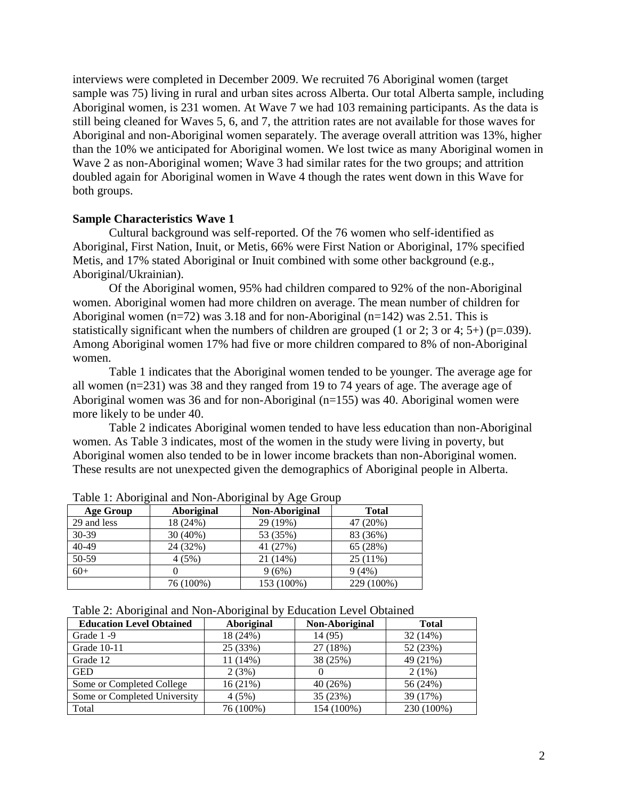interviews were completed in December 2009. We recruited 76 Aboriginal women (target sample was 75) living in rural and urban sites across Alberta. Our total Alberta sample, including Aboriginal women, is 231 women. At Wave 7 we had 103 remaining participants. As the data is still being cleaned for Waves 5, 6, and 7, the attrition rates are not available for those waves for Aboriginal and non-Aboriginal women separately. The average overall attrition was 13%, higher than the 10% we anticipated for Aboriginal women. We lost twice as many Aboriginal women in Wave 2 as non-Aboriginal women; Wave 3 had similar rates for the two groups; and attrition doubled again for Aboriginal women in Wave 4 though the rates went down in this Wave for both groups.

### **Sample Characteristics Wave 1**

Cultural background was self-reported. Of the 76 women who self-identified as Aboriginal, First Nation, Inuit, or Metis, 66% were First Nation or Aboriginal, 17% specified Metis, and 17% stated Aboriginal or Inuit combined with some other background (e.g., Aboriginal/Ukrainian).

Of the Aboriginal women, 95% had children compared to 92% of the non-Aboriginal women. Aboriginal women had more children on average. The mean number of children for Aboriginal women  $(n=72)$  was 3.18 and for non-Aboriginal  $(n=142)$  was 2.51. This is statistically significant when the numbers of children are grouped  $(1 \text{ or } 2; 3 \text{ or } 4; 5+)$  (p=.039). Among Aboriginal women 17% had five or more children compared to 8% of non-Aboriginal women.

Table 1 indicates that the Aboriginal women tended to be younger. The average age for all women (n=231) was 38 and they ranged from 19 to 74 years of age. The average age of Aboriginal women was 36 and for non-Aboriginal (n=155) was 40. Aboriginal women were more likely to be under 40.

Table 2 indicates Aboriginal women tended to have less education than non-Aboriginal women. As Table 3 indicates, most of the women in the study were living in poverty, but Aboriginal women also tended to be in lower income brackets than non-Aboriginal women. These results are not unexpected given the demographics of Aboriginal people in Alberta.

| <b>Age Group</b> | <b>Aboriginal</b> | Non-Aboriginal | <b>Total</b> |
|------------------|-------------------|----------------|--------------|
| 29 and less      | 18 (24%)          | 29 (19%)       | 47 (20%)     |
| $30-39$          | 30 (40%)          | 53 (35%)       | 83 (36%)     |
| $40 - 49$        | 24 (32%)          | 41 (27%)       | 65 (28%)     |
| 50-59            | 4(5%)             | 21 (14%)       | $25(11\%)$   |
| $60+$            |                   | 9(6%)          | 9(4%)        |
|                  | 76 (100%)         | 153 (100%)     | 229 (100%)   |

Table 1: Aboriginal and Non-Aboriginal by Age Group

|  |  |  |  |  |  | Table 2: Aboriginal and Non-Aboriginal by Education Level Obtained |  |
|--|--|--|--|--|--|--------------------------------------------------------------------|--|
|  |  |  |  |  |  |                                                                    |  |

|                                 | $\sim$     |                |              |
|---------------------------------|------------|----------------|--------------|
| <b>Education Level Obtained</b> | Aboriginal | Non-Aboriginal | <b>Total</b> |
| Grade 1-9                       | 18 (24%)   | 14 (95)        | 32(14%)      |
| Grade 10-11                     | 25 (33%)   | 27 (18%)       | 52 (23%)     |
| Grade 12                        | $11(14\%)$ | 38 (25%)       | 49 (21%)     |
| <b>GED</b>                      | 2(3%)      |                | $2(1\%)$     |
| Some or Completed College       | 16(21%)    | 40 (26%)       | 56 (24%)     |
| Some or Completed University    | 4(5%)      | 35 (23%)       | 39 (17%)     |
| Total                           | 76 (100%)  | 154 (100%)     | 230 (100%)   |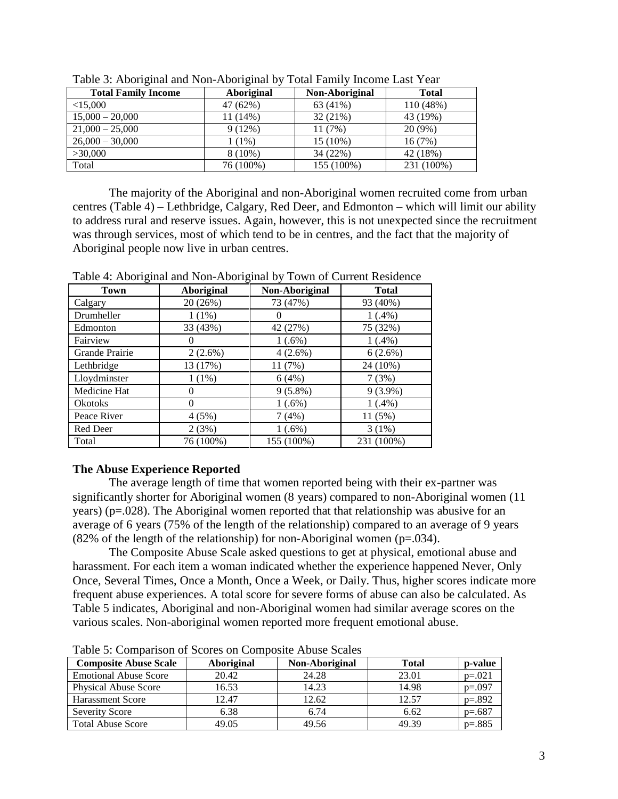| <b>Total Family Income</b> | Aboriginal | Non-Aboriginal | <b>Total</b> |
|----------------------------|------------|----------------|--------------|
| $<$ 15,000                 | 47 (62%)   | 63 (41%)       | 110 (48%)    |
| $15,000 - 20,000$          | 11 (14%)   | 32 (21%)       | 43 (19%)     |
| $21,000 - 25,000$          | 9(12%)     | 11(7%)         | $20(9\%)$    |
| $26,000 - 30,000$          | $1(1\%)$   | 15 (10%)       | 16(7%)       |
| >30,000                    | $8(10\%)$  | 34 (22%)       | 42 (18%)     |
| Total                      | 76 (100%)  | 155 (100%)     | 231 (100%)   |

Table 3: Aboriginal and Non-Aboriginal by Total Family Income Last Year

The majority of the Aboriginal and non-Aboriginal women recruited come from urban centres (Table 4) – Lethbridge, Calgary, Red Deer, and Edmonton – which will limit our ability to address rural and reserve issues. Again, however, this is not unexpected since the recruitment was through services, most of which tend to be in centres, and the fact that the majority of Aboriginal people now live in urban centres.

| Town           | <b>Aboriginal</b> | Non-Aboriginal   | <b>Total</b> |
|----------------|-------------------|------------------|--------------|
| Calgary        | 20 (26%)          | 73 (47%)         | 93 (40%)     |
| Drumheller     | $1(1\%)$          | $\left( \right)$ | $1(.4\%)$    |
| Edmonton       | 33 (43%)          | 42 (27%)         | 75 (32%)     |
| Fairview       | 0                 | $1(.6\%)$        | $1(.4\%)$    |
| Grande Prairie | 2(2.6%)           | $4(2.6\%)$       | 6(2.6%)      |
| Lethbridge     | 13 (17%)          | 11 (7%)          | 24 (10%)     |
| Lloydminster   | $1(1\%)$          | 6(4%)            | 7(3%)        |
| Medicine Hat   |                   | $9(5.8\%)$       | $9(3.9\%)$   |
| <b>Okotoks</b> | 0                 | 1(.6%)           | $1(.4\%)$    |
| Peace River    | 4(5%)             | 7(4%)            | 11 (5%)      |
| Red Deer       | 2(3%)             | $1(.6\%)$        | $3(1\%)$     |
| Total          | 76 (100%)         | 155 (100%)       | 231 (100%)   |

Table 4: Aboriginal and Non-Aboriginal by Town of Current Residence

## **The Abuse Experience Reported**

The average length of time that women reported being with their ex-partner was significantly shorter for Aboriginal women (8 years) compared to non-Aboriginal women (11 years) (p=.028). The Aboriginal women reported that that relationship was abusive for an average of 6 years (75% of the length of the relationship) compared to an average of 9 years (82% of the length of the relationship) for non-Aboriginal women ( $p=.034$ ).

The Composite Abuse Scale asked questions to get at physical, emotional abuse and harassment. For each item a woman indicated whether the experience happened Never, Only Once, Several Times, Once a Month, Once a Week, or Daily. Thus, higher scores indicate more frequent abuse experiences. A total score for severe forms of abuse can also be calculated. As Table 5 indicates, Aboriginal and non-Aboriginal women had similar average scores on the various scales. Non-aboriginal women reported more frequent emotional abuse.

| <b>Composite Abuse Scale</b> | <b>Aboriginal</b> | Non-Aboriginal | <b>Total</b> | p-value  |
|------------------------------|-------------------|----------------|--------------|----------|
| <b>Emotional Abuse Score</b> | 20.42             | 24.28          | 23.01        | $p=.021$ |
| <b>Physical Abuse Score</b>  | 16.53             | 14.23          | 14.98        | $p=.097$ |
| <b>Harassment Score</b>      | 12.47             | 12.62          | 12.57        | $p=.892$ |
| <b>Severity Score</b>        | 6.38              | 6.74           | 6.62         | $p=.687$ |
| <b>Total Abuse Score</b>     | 49.05             | 49.56          | 49.39        | $p=.885$ |

Table 5: Comparison of Scores on Composite Abuse Scales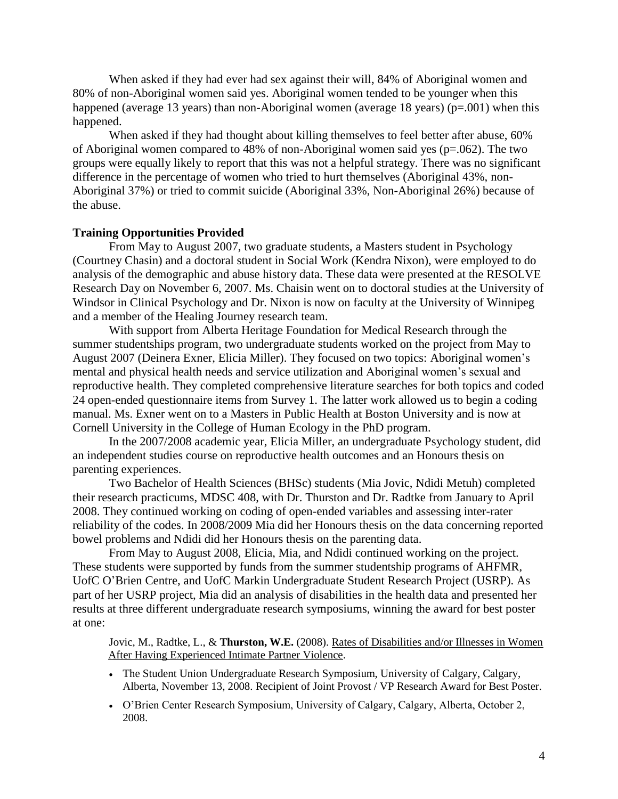When asked if they had ever had sex against their will, 84% of Aboriginal women and 80% of non-Aboriginal women said yes. Aboriginal women tended to be younger when this happened (average 13 years) than non-Aboriginal women (average 18 years)  $(p=.001)$  when this happened.

When asked if they had thought about killing themselves to feel better after abuse, 60% of Aboriginal women compared to 48% of non-Aboriginal women said yes (p=.062). The two groups were equally likely to report that this was not a helpful strategy. There was no significant difference in the percentage of women who tried to hurt themselves (Aboriginal 43%, non-Aboriginal 37%) or tried to commit suicide (Aboriginal 33%, Non-Aboriginal 26%) because of the abuse.

# **Training Opportunities Provided**

From May to August 2007, two graduate students, a Masters student in Psychology (Courtney Chasin) and a doctoral student in Social Work (Kendra Nixon), were employed to do analysis of the demographic and abuse history data. These data were presented at the RESOLVE Research Day on November 6, 2007. Ms. Chaisin went on to doctoral studies at the University of Windsor in Clinical Psychology and Dr. Nixon is now on faculty at the University of Winnipeg and a member of the Healing Journey research team.

With support from Alberta Heritage Foundation for Medical Research through the summer studentships program, two undergraduate students worked on the project from May to August 2007 (Deinera Exner, Elicia Miller). They focused on two topics: Aboriginal women's mental and physical health needs and service utilization and Aboriginal women's sexual and reproductive health. They completed comprehensive literature searches for both topics and coded 24 open-ended questionnaire items from Survey 1. The latter work allowed us to begin a coding manual. Ms. Exner went on to a Masters in Public Health at Boston University and is now at Cornell University in the College of Human Ecology in the PhD program.

In the 2007/2008 academic year, Elicia Miller, an undergraduate Psychology student, did an independent studies course on reproductive health outcomes and an Honours thesis on parenting experiences.

Two Bachelor of Health Sciences (BHSc) students (Mia Jovic, Ndidi Metuh) completed their research practicums, MDSC 408, with Dr. Thurston and Dr. Radtke from January to April 2008. They continued working on coding of open-ended variables and assessing inter-rater reliability of the codes. In 2008/2009 Mia did her Honours thesis on the data concerning reported bowel problems and Ndidi did her Honours thesis on the parenting data.

From May to August 2008, Elicia, Mia, and Ndidi continued working on the project. These students were supported by funds from the summer studentship programs of AHFMR, UofC O'Brien Centre, and UofC Markin Undergraduate Student Research Project (USRP). As part of her USRP project, Mia did an analysis of disabilities in the health data and presented her results at three different undergraduate research symposiums, winning the award for best poster at one:

Jovic, M., Radtke, L., & **Thurston, W.E.** (2008). Rates of Disabilities and/or Illnesses in Women After Having Experienced Intimate Partner Violence.

- The Student Union Undergraduate Research Symposium, University of Calgary, Calgary, Alberta, November 13, 2008. Recipient of Joint Provost / VP Research Award for Best Poster.
- O'Brien Center Research Symposium, University of Calgary, Calgary, Alberta, October 2, 2008.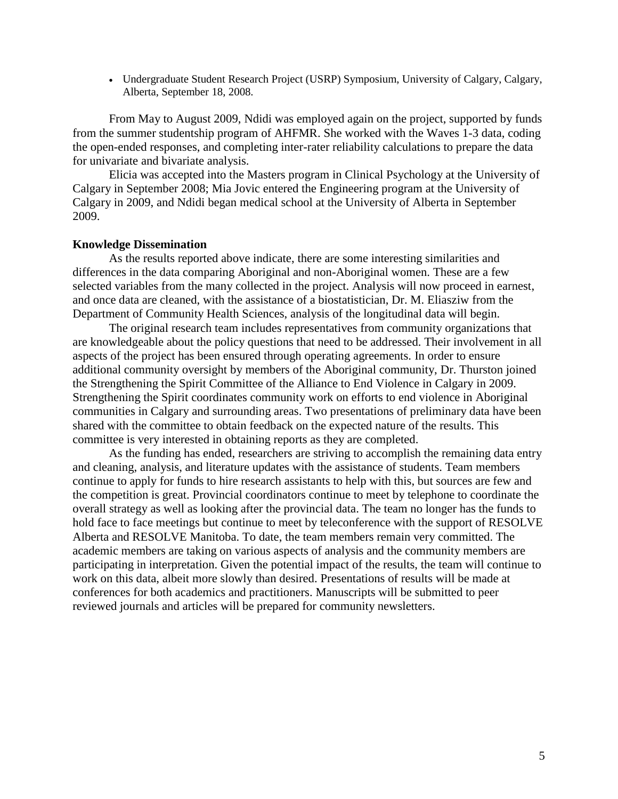Undergraduate Student Research Project (USRP) Symposium, University of Calgary, Calgary, Alberta, September 18, 2008.

From May to August 2009, Ndidi was employed again on the project, supported by funds from the summer studentship program of AHFMR. She worked with the Waves 1-3 data, coding the open-ended responses, and completing inter-rater reliability calculations to prepare the data for univariate and bivariate analysis.

Elicia was accepted into the Masters program in Clinical Psychology at the University of Calgary in September 2008; Mia Jovic entered the Engineering program at the University of Calgary in 2009, and Ndidi began medical school at the University of Alberta in September 2009.

#### **Knowledge Dissemination**

As the results reported above indicate, there are some interesting similarities and differences in the data comparing Aboriginal and non-Aboriginal women. These are a few selected variables from the many collected in the project. Analysis will now proceed in earnest, and once data are cleaned, with the assistance of a biostatistician, Dr. M. Eliasziw from the Department of Community Health Sciences, analysis of the longitudinal data will begin.

The original research team includes representatives from community organizations that are knowledgeable about the policy questions that need to be addressed. Their involvement in all aspects of the project has been ensured through operating agreements. In order to ensure additional community oversight by members of the Aboriginal community, Dr. Thurston joined the Strengthening the Spirit Committee of the Alliance to End Violence in Calgary in 2009. Strengthening the Spirit coordinates community work on efforts to end violence in Aboriginal communities in Calgary and surrounding areas. Two presentations of preliminary data have been shared with the committee to obtain feedback on the expected nature of the results. This committee is very interested in obtaining reports as they are completed.

As the funding has ended, researchers are striving to accomplish the remaining data entry and cleaning, analysis, and literature updates with the assistance of students. Team members continue to apply for funds to hire research assistants to help with this, but sources are few and the competition is great. Provincial coordinators continue to meet by telephone to coordinate the overall strategy as well as looking after the provincial data. The team no longer has the funds to hold face to face meetings but continue to meet by teleconference with the support of RESOLVE Alberta and RESOLVE Manitoba. To date, the team members remain very committed. The academic members are taking on various aspects of analysis and the community members are participating in interpretation. Given the potential impact of the results, the team will continue to work on this data, albeit more slowly than desired. Presentations of results will be made at conferences for both academics and practitioners. Manuscripts will be submitted to peer reviewed journals and articles will be prepared for community newsletters.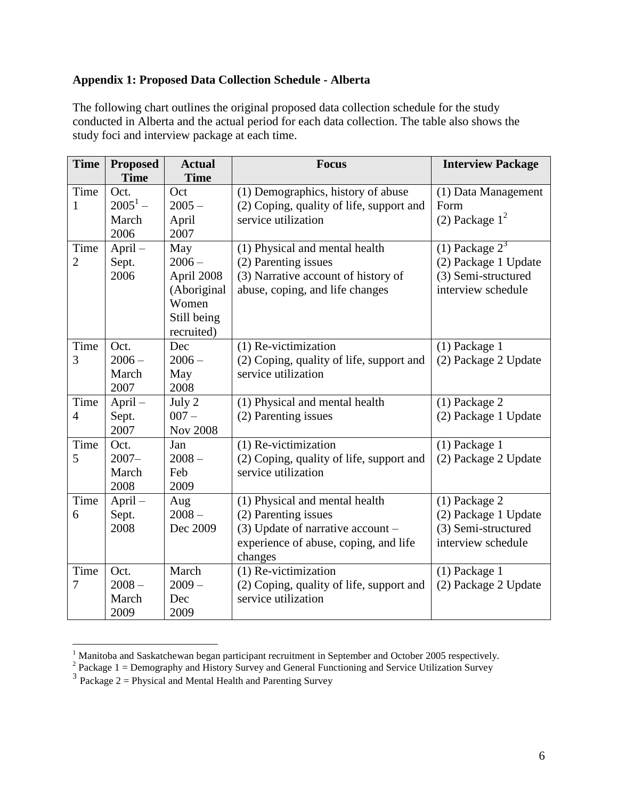# **Appendix 1: Proposed Data Collection Schedule - Alberta**

The following chart outlines the original proposed data collection schedule for the study conducted in Alberta and the actual period for each data collection. The table also shows the study foci and interview package at each time.

| <b>Time</b>    | <b>Proposed</b> | <b>Actual</b>   | <b>Focus</b>                             | <b>Interview Package</b> |
|----------------|-----------------|-----------------|------------------------------------------|--------------------------|
|                | <b>Time</b>     | <b>Time</b>     |                                          |                          |
| Time           | Oct.            | Oct             | (1) Demographics, history of abuse       | (1) Data Management      |
| 1              | $2005^1 -$      | $2005 -$        | (2) Coping, quality of life, support and | Form                     |
|                | March           | April           | service utilization                      | (2) Package $1^2$        |
|                | 2006            | 2007            |                                          |                          |
| Time           | April-          | May             | (1) Physical and mental health           | $(1)$ Package $23$       |
| 2              | Sept.           | $2006 -$        | (2) Parenting issues                     | (2) Package 1 Update     |
|                | 2006            | April 2008      | (3) Narrative account of history of      | (3) Semi-structured      |
|                |                 | (Aboriginal     | abuse, coping, and life changes          | interview schedule       |
|                |                 | Women           |                                          |                          |
|                |                 | Still being     |                                          |                          |
|                |                 | recruited)      |                                          |                          |
| Time           | Oct.            | Dec             | (1) Re-victimization                     | $(1)$ Package 1          |
| 3              | $2006 -$        | $2006 -$        | (2) Coping, quality of life, support and | (2) Package 2 Update     |
|                | March           | May             | service utilization                      |                          |
|                | 2007            | 2008            |                                          |                          |
| Time           | April-          | July 2          | (1) Physical and mental health           | (1) Package 2            |
| $\overline{4}$ | Sept.           | $007 -$         | (2) Parenting issues                     | (2) Package 1 Update     |
|                | 2007            | <b>Nov 2008</b> |                                          |                          |
| Time           | Oct.            | Jan             | (1) Re-victimization                     | $(1)$ Package 1          |
| 5              | $2007 -$        | $2008 -$        | (2) Coping, quality of life, support and | (2) Package 2 Update     |
|                | March           | Feb             | service utilization                      |                          |
|                | 2008            | 2009            |                                          |                          |
| Time           | April-          | Aug             | (1) Physical and mental health           | (1) Package 2            |
| 6              | Sept.           | $2008 -$        | (2) Parenting issues                     | (2) Package 1 Update     |
|                | 2008            | Dec 2009        | $(3)$ Update of narrative account -      | (3) Semi-structured      |
|                |                 |                 | experience of abuse, coping, and life    | interview schedule       |
|                |                 |                 | changes                                  |                          |
| Time           | Oct.            | March           | (1) Re-victimization                     | (1) Package 1            |
| 7              | $2008 -$        | $2009 -$        | (2) Coping, quality of life, support and | (2) Package 2 Update     |
|                | March           | Dec             | service utilization                      |                          |
|                | 2009            | 2009            |                                          |                          |

<sup>&</sup>lt;sup>1</sup> Manitoba and Saskatchewan began participant recruitment in September and October 2005 respectively.<br><sup>2</sup> Package 1 = Demography and History Survey and General Functioning and Service Utilization Survey<br><sup>3</sup> Package 2 =

 $\overline{a}$